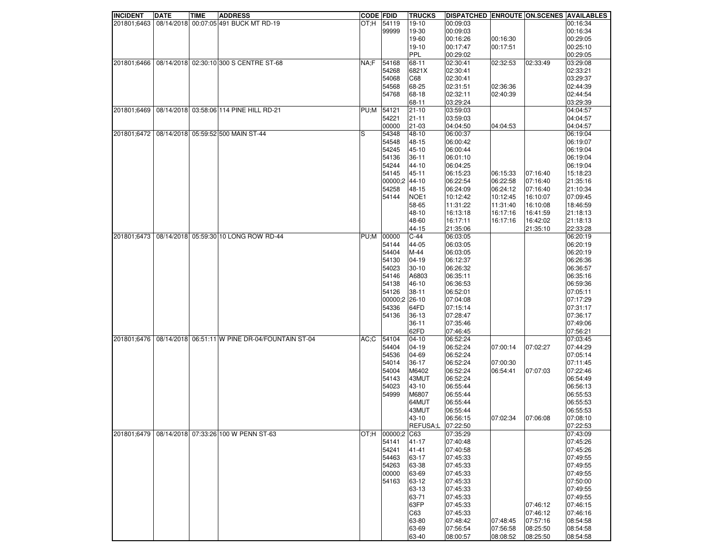| <b>INCIDENT</b> | <b>DATE</b> | <b>TIME</b> | <b>ADDRESS</b>                                  | <b>CODE FDID</b> |             | TRUCKS     | DISPATCHED ENROUTE ON SCENES AVAILABLES |          |          |          |
|-----------------|-------------|-------------|-------------------------------------------------|------------------|-------------|------------|-----------------------------------------|----------|----------|----------|
| 201801;6463     |             |             | 08/14/2018 00:07:05 491 BUCK MT RD-19           | OT:H             | 54119       | 19-10      | 00:09:03                                |          |          | 00:16:34 |
|                 |             |             |                                                 |                  | 99999       | 19-30      | 00:09:03                                |          |          | 00:16:34 |
|                 |             |             |                                                 |                  |             | 19-60      | 00:16:26                                | 00:16:30 |          | 00:29:05 |
|                 |             |             |                                                 |                  |             | 19-10      | 00:17:47                                | 00:17:51 |          | 00:25:10 |
|                 |             |             |                                                 |                  |             | <b>PPL</b> | 00:29:02                                |          |          | 00:29:05 |
|                 |             |             | 08/14/2018 02:30:10 300 S CENTRE ST-68          |                  |             |            |                                         |          |          |          |
| 201801;6466     |             |             |                                                 | NA;F             | 54168       | 68-11      | 02:30:41                                | 02:32:53 | 02:33:49 | 03:29:08 |
|                 |             |             |                                                 |                  | 54268       | 6821X      | 02:30:41                                |          |          | 02:33:21 |
|                 |             |             |                                                 |                  | 54068       | C68        | 02:30:41                                |          |          | 03:29:37 |
|                 |             |             |                                                 |                  | 54568       | 68-25      | 02:31:51                                | 02:36:36 |          | 02:44:39 |
|                 |             |             |                                                 |                  | 54768       | 68-18      | 02:32:11                                | 02:40:39 |          | 02:44:54 |
|                 |             |             |                                                 |                  |             | 68-11      | 03:29:24                                |          |          | 03:29:39 |
| 201801;6469     |             |             | 08/14/2018 03:58:06 114 PINE HILL RD-21         | PU;M             | 54121       | $21 - 10$  | 03:59:03                                |          |          | 04:04:57 |
|                 |             |             |                                                 |                  | 54221       | $21 - 11$  | 03:59:03                                |          |          | 04:04:57 |
|                 |             |             |                                                 |                  |             |            |                                         |          |          |          |
|                 |             |             |                                                 |                  | 00000       | 21-03      | 04:04:50                                | 04:04:53 |          | 04:04:57 |
| 201801;6472     |             |             | 08/14/2018 05:59:52 500 MAIN ST-44              | S                | 54348       | 48-10      | 06:00:37                                |          |          | 06:19:04 |
|                 |             |             |                                                 |                  | 54548       | 48-15      | 06:00:42                                |          |          | 06:19:07 |
|                 |             |             |                                                 |                  | 54245       | 45-10      | 06:00:44                                |          |          | 06:19:04 |
|                 |             |             |                                                 |                  | 54136       | $36 - 11$  | 06:01:10                                |          |          | 06:19:04 |
|                 |             |             |                                                 |                  | 54244       | 44-10      | 06:04:25                                |          |          | 06:19:04 |
|                 |             |             |                                                 |                  | 54145       | 45-11      | 06:15:23                                | 06:15:33 | 07:16:40 | 15:18:23 |
|                 |             |             |                                                 |                  | 00000:2     | 44-10      | 06:22:54                                | 06:22:58 | 07:16:40 | 21:35:16 |
|                 |             |             |                                                 |                  |             |            |                                         |          |          |          |
|                 |             |             |                                                 |                  | 54258       | 48-15      | 06:24:09                                | 06:24:12 | 07:16:40 | 21:10:34 |
|                 |             |             |                                                 |                  | 54144       | NOE1       | 10:12:42                                | 10:12:45 | 16:10:07 | 07:09:45 |
|                 |             |             |                                                 |                  |             | 58-65      | 11:31:22                                | 11:31:40 | 16:10:08 | 18:46:59 |
|                 |             |             |                                                 |                  |             | 48-10      | 16:13:18                                | 16:17:16 | 16:41:59 | 21:18:13 |
|                 |             |             |                                                 |                  |             | 48-60      | 16:17:11                                | 16:17:16 | 16:42:02 | 21:18:13 |
|                 |             |             |                                                 |                  |             | 44-15      | 21:35:06                                |          | 21:35:10 | 22:33:28 |
| 201801;6473     |             |             | 08/14/2018 05:59:30 10 LONG ROW RD-44           | PU;M             | 00000       | $C-44$     | 06:03:05                                |          |          | 06:20:19 |
|                 |             |             |                                                 |                  | 54144       | 44-05      | 06:03:05                                |          |          | 06:20:19 |
|                 |             |             |                                                 |                  |             |            |                                         |          |          |          |
|                 |             |             |                                                 |                  | 54404       | $M-44$     | 06:03:05                                |          |          | 06:20:19 |
|                 |             |             |                                                 |                  | 54130       | 04-19      | 06:12:37                                |          |          | 06:26:36 |
|                 |             |             |                                                 |                  | 54023       | $30 - 10$  | 06:26:32                                |          |          | 06:36:57 |
|                 |             |             |                                                 |                  | 54146       | A6803      | 06:35:11                                |          |          | 06:35:16 |
|                 |             |             |                                                 |                  | 54138       | 46-10      | 06:36:53                                |          |          | 06:59:36 |
|                 |             |             |                                                 |                  | 54126       | $38 - 11$  | 06:52:01                                |          |          | 07:05:11 |
|                 |             |             |                                                 |                  | 00000;2     | $26 - 10$  | 07:04:08                                |          |          | 07:17:29 |
|                 |             |             |                                                 |                  | 54336       | 64FD       | 07:15:14                                |          |          | 07:31:17 |
|                 |             |             |                                                 |                  |             |            |                                         |          |          |          |
|                 |             |             |                                                 |                  | 54136       | $36-13$    | 07:28:47                                |          |          | 07:36:17 |
|                 |             |             |                                                 |                  |             | $36 - 11$  | 07:35:46                                |          |          | 07:49:06 |
|                 |             |             |                                                 |                  |             | 62FD       | 07:46:45                                |          |          | 07:56:21 |
| 201801;6476     |             |             | 08/14/2018 06:51:11 W PINE DR-04/FOUNTAIN ST-04 | $AC:$ C          | 54104       | $04 - 10$  | 06:52:24                                |          |          | 07:03:45 |
|                 |             |             |                                                 |                  | 54404       | 04-19      | 06:52:24                                | 07:00:14 | 07:02:27 | 07:44:29 |
|                 |             |             |                                                 |                  | 54536       | 04-69      | 06:52:24                                |          |          | 07:05:14 |
|                 |             |             |                                                 |                  | 54014       | $36-17$    | 06:52:24                                | 07:00:30 |          | 07:11:45 |
|                 |             |             |                                                 |                  | 54004       | M6402      | 06:52:24                                | 06:54:41 | 07:07:03 | 07:22:46 |
|                 |             |             |                                                 |                  |             |            |                                         |          |          | 06:54:49 |
|                 |             |             |                                                 |                  | 54143       | 43MUT      | 06:52:24                                |          |          |          |
|                 |             |             |                                                 |                  | 54023       | 43-10      | 06:55:44                                |          |          | 06:56:13 |
|                 |             |             |                                                 |                  | 54999       | M6807      | 06:55:44                                |          |          | 06:55:53 |
|                 |             |             |                                                 |                  |             | 64MUT      | 06:55:44                                |          |          | 06:55:53 |
|                 |             |             |                                                 |                  |             | 43MUT      | 06:55:44                                |          |          | 06:55:53 |
|                 |             |             |                                                 |                  |             | 43-10      | 06:56:15                                | 07:02:34 | 07:06:08 | 07:08:10 |
|                 |             |             |                                                 |                  |             | REFUSA;L   | 07:22:50                                |          |          | 07:22:53 |
| 201801;6479     |             |             | 08/14/2018 07:33:26 100 W PENN ST-63            | OT:H             | 00000:2 C63 |            | 07:35:29                                |          |          | 07:43:09 |
|                 |             |             |                                                 |                  |             |            |                                         |          |          |          |
|                 |             |             |                                                 |                  | 54141       | $41 - 17$  | 07:40:48                                |          |          | 07:45:26 |
|                 |             |             |                                                 |                  | 54241       | $41 - 41$  | 07:40:58                                |          |          | 07:45:26 |
|                 |             |             |                                                 |                  | 54463       | 63-17      | 07:45:33                                |          |          | 07:49:55 |
|                 |             |             |                                                 |                  | 54263       | 63-38      | 07:45:33                                |          |          | 07:49:55 |
|                 |             |             |                                                 |                  | 00000       | 63-69      | 07:45:33                                |          |          | 07:49:55 |
|                 |             |             |                                                 |                  | 54163       | 63-12      | 07:45:33                                |          |          | 07:50:00 |
|                 |             |             |                                                 |                  |             | 63-13      | 07:45:33                                |          |          | 07:49:55 |
|                 |             |             |                                                 |                  |             | 63-71      | 07:45:33                                |          |          | 07:49:55 |
|                 |             |             |                                                 |                  |             |            |                                         |          |          |          |
|                 |             |             |                                                 |                  |             | 63FP       | 07:45:33                                |          | 07:46:12 | 07:46:15 |
|                 |             |             |                                                 |                  |             | C63        | 07:45:33                                |          | 07:46:12 | 07:46:16 |
|                 |             |             |                                                 |                  |             | 63-80      | 07:48:42                                | 07:48:45 | 07:57:16 | 08:54:58 |
|                 |             |             |                                                 |                  |             | 63-69      | 07:56:54                                | 07:56:58 | 08:25:50 | 08:54:58 |
|                 |             |             |                                                 |                  |             | 63-40      | 08:00:57                                | 08:08:52 | 08:25:50 | 08:54:58 |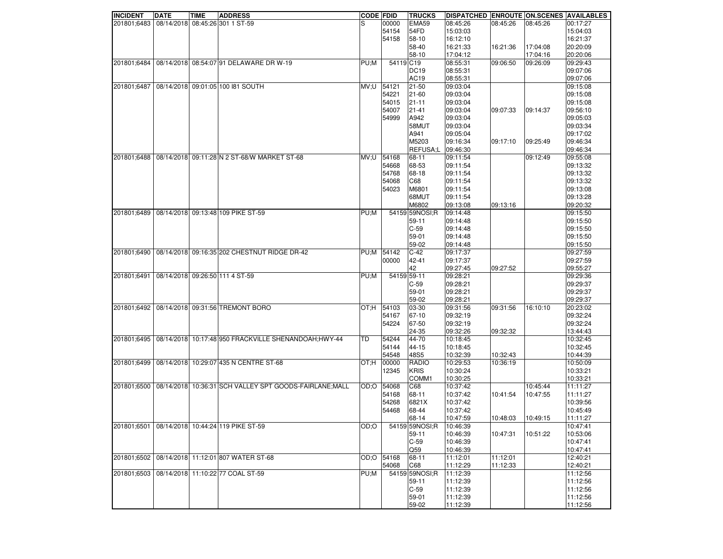| <b>INCIDENT</b> | <b>DATE</b> | <b>TIME</b> | <b>ADDRESS</b>                                          | <b>CODE FDID</b> |             | <b>TRUCKS</b>    | DISPATCHED ENROUTE ON SCENES AVAILABLES |                    |          |          |
|-----------------|-------------|-------------|---------------------------------------------------------|------------------|-------------|------------------|-----------------------------------------|--------------------|----------|----------|
| 201801:6483     |             |             | 08/14/2018 08:45:26 301 1 ST-59                         | S                | 00000       | EMA59            | 08:45:26                                | 08:45:26           | 08:45:26 | 00:17:27 |
|                 |             |             |                                                         |                  | 54154       | 54FD             | 15:03:03                                |                    |          | 15:04:03 |
|                 |             |             |                                                         |                  | 54158       | 58-10            | 16:12:10                                |                    |          | 16:21:37 |
|                 |             |             |                                                         |                  |             | 58-40            | 16:21:33                                | 16:21:36           | 17:04:08 | 20:20:09 |
|                 |             |             |                                                         |                  |             | 58-10            | 17:04:12                                |                    | 17:04:16 | 20:20:06 |
| 201801;6484     |             |             | 08/14/2018 08:54:07 91 DELAWARE DR W-19                 | PU;M             | 54119 C19   |                  | 08:55:31                                | 09:06:50           | 09:26:09 | 09:29:43 |
|                 |             |             |                                                         |                  |             | DC <sub>19</sub> |                                         |                    |          | 09:07:06 |
|                 |             |             |                                                         |                  |             |                  | 08:55:31                                |                    |          | 09:07:06 |
|                 |             |             |                                                         |                  |             | <b>AC19</b>      | 08:55:31                                |                    |          |          |
| 201801;6487     |             |             | 08/14/2018 09:01:05 100 181 SOUTH                       | MV;U             | 54121       | 21-50            | 09:03:04                                |                    |          | 09:15:08 |
|                 |             |             |                                                         |                  | 54221       | 21-60            | 09:03:04                                |                    |          | 09:15:08 |
|                 |             |             |                                                         |                  | 54015       | 21-11            | 09:03:04                                |                    |          | 09:15:08 |
|                 |             |             |                                                         |                  | 54007       | $21 - 41$        | 09:03:04                                | 09:07:33           | 09:14:37 | 09:56:10 |
|                 |             |             |                                                         |                  | 54999       | A942             | 09:03:04                                |                    |          | 09:05:03 |
|                 |             |             |                                                         |                  |             | 58MUT            | 09:03:04                                |                    |          | 09:03:34 |
|                 |             |             |                                                         |                  |             | A941             | 09:05:04                                |                    |          | 09:17:02 |
|                 |             |             |                                                         |                  |             | M5203            | 09:16:34                                | 09:17:10           | 09:25:49 | 09:46:34 |
|                 |             |             |                                                         |                  |             | REFUSA;L         | 09:46:30                                |                    |          | 09:46:34 |
| 201801;6488     |             |             | 08/14/2018 09:11:28 N 2 ST-68/W MARKET ST-68            | U; VM            | 54168       | 68-11            | 09:11:54                                |                    | 09:12:49 | 09:55:08 |
|                 |             |             |                                                         |                  | 54668       | 68-53            | 09:11:54                                |                    |          | 09:13:32 |
|                 |             |             |                                                         |                  | 54768       | 68-18            | 09:11:54                                |                    |          | 09:13:32 |
|                 |             |             |                                                         |                  | 54068       | C68              | 09:11:54                                |                    |          | 09:13:32 |
|                 |             |             |                                                         |                  | 54023       | M6801            | 09:11:54                                |                    |          | 09:13:08 |
|                 |             |             |                                                         |                  |             | 68MUT            | 09:11:54                                |                    |          | 09:13:28 |
|                 |             |             |                                                         |                  |             | M6802            | 09:13:08                                | 09:13:16           |          | 09:20:32 |
| 201801;6489     |             |             | 08/14/2018 09:13:48 109 PIKE ST-59                      | PU;M             |             | 54159 59NOSI:R   | 09:14:48                                |                    |          | 09:15:50 |
|                 |             |             |                                                         |                  |             | 59-11            | 09:14:48                                |                    |          | 09:15:50 |
|                 |             |             |                                                         |                  |             | $C-59$           | 09:14:48                                |                    |          | 09:15:50 |
|                 |             |             |                                                         |                  |             | 59-01            | 09:14:48                                |                    |          | 09:15:50 |
|                 |             |             |                                                         |                  |             | 59-02            | 09:14:48                                |                    |          | 09:15:50 |
| 201801;6490     |             |             | 08/14/2018 09:16:35 202 CHESTNUT RIDGE DR-42            | PU;M             | 54142       | $C-42$           | 09:17:37                                |                    |          | 09:27:59 |
|                 |             |             |                                                         |                  | 00000       | 42-41            | 09:17:37                                |                    |          | 09:27:59 |
|                 |             |             |                                                         |                  |             | 42               | 09:27:45                                | 09:27:52           |          | 09:55:27 |
| 201801;6491     |             |             | 08/14/2018 09:26:50 111 4 ST-59                         | PU;M             | 54159 59-11 |                  | 09:28:21                                |                    |          | 09:29:36 |
|                 |             |             |                                                         |                  |             | $C-59$           | 09:28:21                                |                    |          | 09:29:37 |
|                 |             |             |                                                         |                  |             | 59-01            | 09:28:21                                |                    |          | 09:29:37 |
|                 |             |             |                                                         |                  |             | 59-02            | 09:28:21                                |                    |          | 09:29:37 |
| 201801;6492     |             |             | 08/14/2018 09:31:56 TREMONT BORO                        | H;TO             | 54103       | 03-30            | 09:31:56                                | 09:31:56           | 16:10:10 | 20:23:02 |
|                 |             |             |                                                         |                  | 54167       | 67-10            | 09:32:19                                |                    |          | 09:32:24 |
|                 |             |             |                                                         |                  | 54224       | 67-50            | 09:32:19                                |                    |          | 09:32:24 |
|                 |             |             |                                                         |                  |             | 24-35            | 09:32:26                                | 09:32:32           |          | 13:44:43 |
| 201801;6495     |             |             | 08/14/2018 10:17:48 950 FRACKVILLE SHENANDOAH; HWY-44   | TD               | 54244       | 44-70            | 10:18:45                                |                    |          | 10:32:45 |
|                 |             |             |                                                         |                  | 54144       | 44-15            | 10:18:45                                |                    |          | 10:32:45 |
|                 |             |             |                                                         |                  | 54548       | 48S5             | 10:32:39                                | 10:32:43           |          | 10:44:39 |
| 201801;6499     |             |             | 08/14/2018 10:29:07 435 N CENTRE ST-68                  | H;TO             | 00000       | <b>RADIO</b>     | 10:29:53                                | 10:36:19           |          | 10:50:09 |
|                 |             |             |                                                         |                  | 12345       | <b>KRIS</b>      | 10:30:24                                |                    |          | 10:33:21 |
|                 |             |             |                                                         |                  |             | COMM1            | 10:30:25                                |                    |          | 10:33:21 |
| 201801;6500     |             |             | 08/14/2018 10:36:31 SCH VALLEY SPT GOODS-FAIRLANE; MALL | O:OO             | 54068       | C68              | 10:37:42                                |                    | 10:45:44 | 11:11:27 |
|                 |             |             |                                                         |                  | 54168       | 68-11            | 10:37:42                                | 10:41:54           | 10:47:55 | 11:11:27 |
|                 |             |             |                                                         |                  | 54268       | 6821X            | 10:37:42                                |                    |          | 10:39:56 |
|                 |             |             |                                                         |                  | 54468       | 68-44            | 10:37:42                                |                    |          | 10:45:49 |
|                 |             |             |                                                         |                  |             | 68-14            | 10:47:59                                | 10:48:03  10:49:15 |          | 11:11:27 |
| 201801;6501     |             |             | 08/14/2018 10:44:24 119 PIKE ST-59                      | O;OO             |             | 54159 59NOSI;R   | 10:46:39                                |                    |          | 10:47:41 |
|                 |             |             |                                                         |                  |             | 59-11            | 10:46:39                                | 10:47:31           | 10:51:22 | 10:53:06 |
|                 |             |             |                                                         |                  |             | $C-59$           | 10:46:39                                |                    |          | 10:47:41 |
|                 |             |             |                                                         |                  |             | Q59              | 10:46:39                                |                    |          | 10:47:41 |
| 201801;6502     |             |             | 08/14/2018 11:12:01 807 WATER ST-68                     |                  | OD:O 54168  | 68-11            | 11:12:01                                | 11:12:01           |          | 12:40:21 |
|                 |             |             |                                                         |                  | 54068       | C68              | 11:12:29                                | 11:12:33           |          | 12:40:21 |
| 201801:6503     |             |             | 08/14/2018 11:10:22 77 COAL ST-59                       | PU;M             |             | 54159 59NOSI;R   | 11:12:39                                |                    |          | 11:12:56 |
|                 |             |             |                                                         |                  |             | 59-11            | 11:12:39                                |                    |          | 11:12:56 |
|                 |             |             |                                                         |                  |             | $C-59$           | 11:12:39                                |                    |          | 11:12:56 |
|                 |             |             |                                                         |                  |             | 59-01            | 11:12:39                                |                    |          | 11:12:56 |
|                 |             |             |                                                         |                  |             | 59-02            | 11:12:39                                |                    |          | 11:12:56 |
|                 |             |             |                                                         |                  |             |                  |                                         |                    |          |          |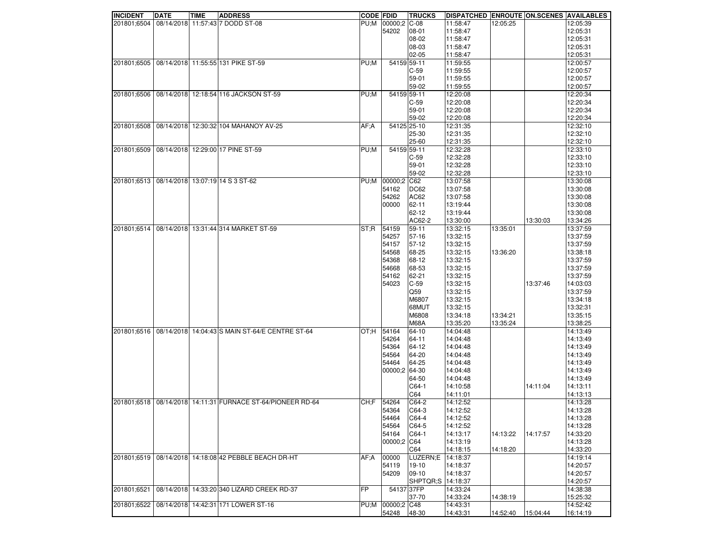| <b>INCIDENT</b> | <b>DATE</b> | <b>TIME</b> | <b>ADDRESS</b>                                  | <b>CODE FDID</b> |                   | <b>TRUCKS</b> | DISPATCHED ENROUTE ON SCENES AVAILABLES |          |          |          |
|-----------------|-------------|-------------|-------------------------------------------------|------------------|-------------------|---------------|-----------------------------------------|----------|----------|----------|
| 201801;6504     |             |             | 08/14/2018 11:57:43 7 DODD ST-08                |                  | PU;M 00000;2 C-08 |               | 11:58:47                                | 12:05:25 |          | 12:05:39 |
|                 |             |             |                                                 |                  | 54202             | 08-01         | 11:58:47                                |          |          | 12:05:31 |
|                 |             |             |                                                 |                  |                   | 08-02         | 11:58:47                                |          |          | 12:05:31 |
|                 |             |             |                                                 |                  |                   | 08-03         | 11:58:47                                |          |          | 12:05:31 |
|                 |             |             |                                                 |                  |                   | $02 - 05$     | 11:58:47                                |          |          | 12:05:31 |
| 201801;6505     |             |             | 08/14/2018 11:55:55 131 PIKE ST-59              | PU;M             | 54159 59-11       |               | 11:59:55                                |          |          | 12:00:57 |
|                 |             |             |                                                 |                  |                   |               |                                         |          |          |          |
|                 |             |             |                                                 |                  |                   | $C-59$        | 11:59:55                                |          |          | 12:00:57 |
|                 |             |             |                                                 |                  |                   | 59-01         | 11:59:55                                |          |          | 12:00:57 |
|                 |             |             |                                                 |                  |                   | 59-02         | 11:59:55                                |          |          | 12:00:57 |
| 201801;6506     |             |             | 08/14/2018 12:18:54 116 JACKSON ST-59           | PU;M             | 54159 59-11       |               | 12:20:08                                |          |          | 12:20:34 |
|                 |             |             |                                                 |                  |                   | $C-59$        | 12:20:08                                |          |          | 12:20:34 |
|                 |             |             |                                                 |                  |                   | 59-01         | 12:20:08                                |          |          | 12:20:34 |
|                 |             |             |                                                 |                  |                   | 59-02         | 12:20:08                                |          |          | 12:20:34 |
| 201801;6508     |             |             | 08/14/2018 12:30:32 104 MAHANOY AV-25           | AF;A             | 54125 25-10       |               | 12:31:35                                |          |          | 12:32:10 |
|                 |             |             |                                                 |                  |                   | 25-30         | 12:31:35                                |          |          | 12:32:10 |
|                 |             |             |                                                 |                  |                   | 25-60         | 12:31:35                                |          |          | 12:32:10 |
| 201801;6509     |             |             | 08/14/2018 12:29:00 17 PINE ST-59               | PU;M             | 54159 59-11       |               | 12:32:28                                |          |          | 12:33:10 |
|                 |             |             |                                                 |                  |                   | $C-59$        | 12:32:28                                |          |          | 12:33:10 |
|                 |             |             |                                                 |                  |                   | 59-01         | 12:32:28                                |          |          | 12:33:10 |
|                 |             |             |                                                 |                  |                   | 59-02         | 12:32:28                                |          |          | 12:33:10 |
| 201801;6513     |             |             | 08/14/2018 13:07:19 14 S 3 ST-62                | PU;M             | 00000:2 C62       |               | 13:07:58                                |          |          | 13:30:08 |
|                 |             |             |                                                 |                  |                   |               |                                         |          |          |          |
|                 |             |             |                                                 |                  | 54162             | DC62          | 13:07:58                                |          |          | 13:30:08 |
|                 |             |             |                                                 |                  | 54262             | AC62          | 13:07:58                                |          |          | 13:30:08 |
|                 |             |             |                                                 |                  | 00000             | 62-11         | 13:19:44                                |          |          | 13:30:08 |
|                 |             |             |                                                 |                  |                   | 62-12         | 13:19:44                                |          |          | 13:30:08 |
|                 |             |             |                                                 |                  |                   | AC62-2        | 13:30:00                                |          | 13:30:03 | 13:34:26 |
| 201801:6514     |             |             | 08/14/2018 13:31:44 314 MARKET ST-59            | ST:R             | 54159             | 59-11         | 13:32:15                                | 13:35:01 |          | 13:37:59 |
|                 |             |             |                                                 |                  | 54257             | 57-16         | 13:32:15                                |          |          | 13:37:59 |
|                 |             |             |                                                 |                  | 54157             | 57-12         | 13:32:15                                |          |          | 13:37:59 |
|                 |             |             |                                                 |                  | 54568             | 68-25         | 13:32:15                                | 13:36:20 |          | 13:38:18 |
|                 |             |             |                                                 |                  | 54368             | 68-12         | 13:32:15                                |          |          | 13:37:59 |
|                 |             |             |                                                 |                  | 54668             | 68-53         | 13:32:15                                |          |          | 13:37:59 |
|                 |             |             |                                                 |                  | 54162             | 62-21         | 13:32:15                                |          |          | 13:37:59 |
|                 |             |             |                                                 |                  | 54023             | $C-59$        | 13:32:15                                |          | 13:37:46 | 14:03:03 |
|                 |             |             |                                                 |                  |                   | Q59           | 13:32:15                                |          |          | 13:37:59 |
|                 |             |             |                                                 |                  |                   | M6807         | 13:32:15                                |          |          | 13:34:18 |
|                 |             |             |                                                 |                  |                   | 68MUT         | 13:32:15                                |          |          | 13:32:31 |
|                 |             |             |                                                 |                  |                   | M6808         | 13:34:18                                | 13:34:21 |          | 13:35:15 |
|                 |             |             |                                                 |                  |                   | <b>M68A</b>   | 13:35:20                                | 13:35:24 |          | 13:38:25 |
| 201801;6516     |             |             | 08/14/2018 14:04:43 S MAIN ST-64/E CENTRE ST-64 | OT:H             | 54164             | 64-10         | 14:04:48                                |          |          | 14:13:49 |
|                 |             |             |                                                 |                  | 54264             | 64-11         | 14:04:48                                |          |          | 14:13:49 |
|                 |             |             |                                                 |                  |                   |               |                                         |          |          |          |
|                 |             |             |                                                 |                  | 54364             | 64-12         | 14:04:48                                |          |          | 14:13:49 |
|                 |             |             |                                                 |                  | 54564             | 64-20         | 14:04:48                                |          |          | 14:13:49 |
|                 |             |             |                                                 |                  | 54464             | 64-25         | 14:04:48                                |          |          | 14:13:49 |
|                 |             |             |                                                 |                  | 00000;2 64-30     |               | 14:04:48                                |          |          | 14:13:49 |
|                 |             |             |                                                 |                  |                   | 64-50         | 14:04:48                                |          |          | 14:13:49 |
|                 |             |             |                                                 |                  |                   | $CG4-1$       | 14:10:58                                |          | 14:11:04 | 14:13:11 |
|                 |             |             |                                                 |                  |                   | C64           | 14:11:01                                |          |          | 14:13:13 |
| 201801:6518     |             |             | 08/14/2018 14:11:31 FURNACE ST-64/PIONEER RD-64 | CH: F            | 54264             | C64-2         | 14:12:52                                |          |          | 14:13:28 |
|                 |             |             |                                                 |                  | 54364             | C64-3         | 14:12:52                                |          |          | 14:13:28 |
|                 |             |             |                                                 |                  | 54464             | $C64-4$       | 14:12:52                                |          |          | 14:13:28 |
|                 |             |             |                                                 |                  | 54564             | C64-5         | 14:12:52                                |          |          | 14:13:28 |
|                 |             |             |                                                 |                  | 54164             | C64-1         | 14:13:17                                | 14:13:22 | 14:17:57 | 14:33:20 |
|                 |             |             |                                                 |                  | 00000;2 C64       |               | 14:13:19                                |          |          | 14:13:28 |
|                 |             |             |                                                 |                  |                   | C64           | 14:18:15                                | 14:18:20 |          | 14:33:20 |
| 201801;6519     |             |             | 08/14/2018 14:18:08 42 PEBBLE BEACH DR-HT       | AF: A            | 00000             | LUZERN;E      | 14:18:37                                |          |          | 14:19:14 |
|                 |             |             |                                                 |                  | 54119             | $19-10$       | 14:18:37                                |          |          | 14:20:57 |
|                 |             |             |                                                 |                  | 54209             | $09-10$       | 14:18:37                                |          |          | 14:20:57 |
|                 |             |             |                                                 |                  |                   | SHPTQR;S      | 14:18:37                                |          |          | 14:20:57 |
| 201801;6521     |             |             | 08/14/2018 14:33:20 340 LIZARD CREEK RD-37      | <b>FP</b>        | 5413737FP         |               | 14:33:24                                |          |          | 14:38:38 |
|                 |             |             |                                                 |                  |                   | 37-70         | 14:33:24                                | 14:38:19 |          | 15:25:32 |
| 201801;6522     |             |             | 08/14/2018 14:42:31 171 LOWER ST-16             | PU;M             | 00000;2 C48       |               | 14:43:31                                |          |          | 14:52:42 |
|                 |             |             |                                                 |                  | 54248             | 48-30         | 14:43:31                                | 14:52:40 | 15:04:44 | 16:14:19 |
|                 |             |             |                                                 |                  |                   |               |                                         |          |          |          |